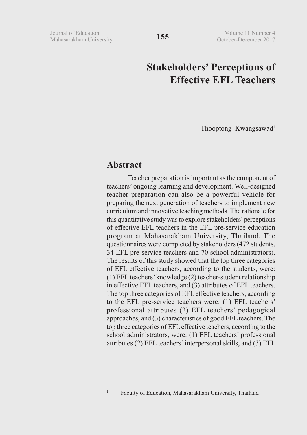# **Stakeholders' Perceptions of Effective EFL Teachers**

Thooptong Kwangsawad<sup>1</sup>

## **Abstract**

Teacher preparation is important as the component of teachers' ongoing learning and development. Well-designed teacher preparation can also be a powerful vehicle for preparing the next generation of teachers to implement new curriculum and innovative teaching methods. The rationale for this quantitative study was to explore stakeholders' perceptions of effective EFL teachers in the EFL pre-service education program at Mahasarakham University, Thailand. The questionnaires were completed by stakeholders (472 students, 34 EFL pre-service teachers and 70 school administrators). The results of this study showed that the top three categories of EFL effective teachers, according to the students, were: (1) EFL teachers' knowledge (2) teacher-student relationship in effective EFL teachers, and (3) attributes of EFL teachers. The top three categories of EFL effective teachers, according to the EFL pre-service teachers were: (1) EFL teachers' professional attributes (2) EFL teachers' pedagogical approaches, and (3) characteristics of good EFL teachers. The top three categories of EFL effective teachers, according to the school administrators, were: (1) EFL teachers' professional attributes (2) EFL teachers' interpersonal skills, and (3) EFL

<sup>&</sup>lt;sup>1</sup> Faculty of Education, Mahasarakham University, Thailand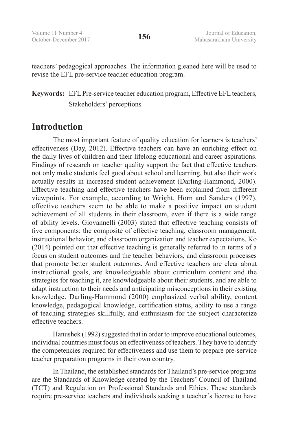teachers' pedagogical approaches. The information gleaned here will be used to revise the EFL pre-service teacher education program.

## **Keywords:** EFL Pre-service teacher education program, Effective EFL teachers, Stakeholders' perceptions

## **Introduction**

The most important feature of quality education for learners is teachers' effectiveness (Day, 2012). Effective teachers can have an enriching effect on the daily lives of children and their lifelong educational and career aspirations. Findings of research on teacher quality support the fact that effective teachers not only make students feel good about school and learning, but also their work actually results in increased student achievement (Darling-Hammond, 2000). Effective teaching and effective teachers have been explained from different viewpoints. For example, according to Wright, Horn and Sanders (1997), effective teachers seem to be able to make a positive impact on student achievement of all students in their classroom, even if there is a wide range of ability levels. Giovannelli (2003) stated that effective teaching consists of five components: the composite of effective teaching, classroom management, instructional behavior, and classroom organization and teacher expectations. Ko (2014) pointed out that effective teaching is generally referred to in terms of a focus on student outcomes and the teacher behaviors, and classroom processes that promote better student outcomes. And effective teachers are clear about instructional goals, are knowledgeable about curriculum content and the strategies for teaching it, are knowledgeable about their students, and are able to adapt instruction to their needs and anticipating misconceptions in their existing knowledge. Darling-Hammond (2000) emphasized verbal ability, content knowledge, pedagogical knowledge, certification status, ability to use a range of teaching strategies skillfully, and enthusiasm for the subject characterize effective teachers.

Hanushek (1992) suggested that in order to improve educational outcomes, individual countries must focus on effectiveness of teachers. They have to identify the competencies required for effectiveness and use them to prepare pre-service teacher preparation programs in their own country.

In Thailand, the established standards for Thailand's pre-service programs are the Standards of Knowledge created by the Teachers' Council of Thailand (TCT) and Regulation on Professional Standards and Ethics. These standards require pre-service teachers and individuals seeking a teacher's license to have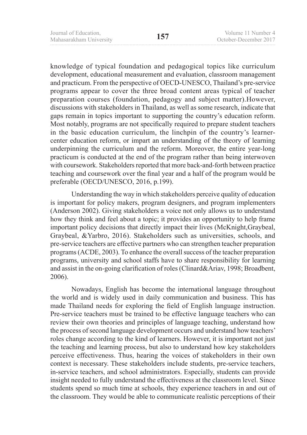knowledge of typical foundation and pedagogical topics like curriculum development, educational measurement and evaluation, classroom management and practicum. From the perspective of OECD-UNESCO, Thailand's pre-service programs appear to cover the three broad content areas typical of teacher preparation courses (foundation, pedagogy and subject matter).However, discussions with stakeholders in Thailand, as well as some research, indicate that gaps remain in topics important to supporting the country's education reform. Most notably, programs are not specifically required to prepare student teachers in the basic education curriculum, the linchpin of the country's learnercenter education reform, or impart an understanding of the theory of learning underpinning the curriculum and the reform. Moreover, the entire year-long practicum is conducted at the end of the program rather than being interwoven with coursework. Stakeholders reported that more back-and-forth between practice teaching and coursework over the final year and a half of the program would be preferable (OECD/UNESCO, 2016, p.199).

Understanding the way in which stakeholders perceive quality of education is important for policy makers, program designers, and program implementers (Anderson 2002). Giving stakeholders a voice not only allows us to understand how they think and feel about a topic; it provides an opportunity to help frame important policy decisions that directly impact their lives (McKnight,Graybeal, Graybeal, &Yarbro, 2016). Stakeholders such as universities, schools, and pre-service teachers are effective partners who can strengthen teacher preparation programs (ACDE, 2003). To enhance the overall success of the teacher preparation programs, university and school staffs have to share responsibility for learning and assist in the on-going clarification of roles (Clinard&Ariav, 1998; Broadbent, 2006).

Nowadays, English has become the international language throughout the world and is widely used in daily communication and business. This has made Thailand needs for exploring the field of English language instruction. Pre-service teachers must be trained to be effective language teachers who can review their own theories and principles of language teaching, understand how the process of second language development occurs and understand how teachers' roles change according to the kind of learners. However, it is important not just the teaching and learning process, but also to understand how key stakeholders perceive effectiveness. Thus, hearing the voices of stakeholders in their own context is necessary. These stakeholders include students, pre-service teachers, in-service teachers, and school administrators. Especially, students can provide insight needed to fully understand the effectiveness at the classroom level. Since students spend so much time at schools, they experience teachers in and out of the classroom. They would be able to communicate realistic perceptions of their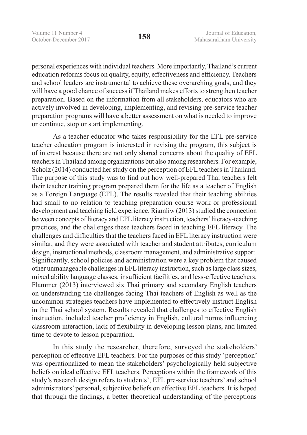personal experiences with individual teachers. More importantly, Thailand's current education reforms focus on quality, equity, effectiveness and efficiency. Teachers and school leaders are instrumental to achieve these overarching goals, and they will have a good chance of success if Thailand makes efforts to strengthen teacher preparation. Based on the information from all stakeholders, educators who are actively involved in developing, implementing, and revising pre-service teacher preparation programs will have a better assessment on what is needed to improve or continue, stop or start implementing.

As a teacher educator who takes responsibility for the EFL pre-service teacher education program is interested in revising the program, this subject is of interest because there are not only shared concerns about the quality of EFL teachers in Thailand among organizations but also among researchers. For example, Scholz (2014) conducted her study on the perception of EFL teachers in Thailand. The purpose of this study was to find out how well-prepared Thai teachers felt their teacher training program prepared them for the life as a teacher of English as a Foreign Language (EFL). The results revealed that their teaching abilities had small to no relation to teaching preparation course work or professional development and teaching field experience. Riamliw (2013) studied the connection between concepts of literacy and EFL literacy instruction, teachers' literacy-teaching practices, and the challenges these teachers faced in teaching EFL literacy. The challenges and difficulties that the teachers faced in EFL literacy instruction were similar, and they were associated with teacher and student attributes, curriculum design, instructional methods, classroom management, and administrative support. Significantly, school policies and administration were a key problem that caused other unmanageable challenges in EFL literacy instruction, such as large class sizes, mixed ability language classes, insufficient facilities, and less-effective teachers. Flammer (2013) interviewed six Thai primary and secondary English teachers on understanding the challenges facing Thai teachers of English as well as the uncommon strategies teachers have implemented to effectively instruct English in the Thai school system. Results revealed that challenges to effective English instruction, included teacher proficiency in English, cultural norms influencing classroom interaction, lack of flexibility in developing lesson plans, and limited time to devote to lesson preparation.

In this study the researcher, therefore, surveyed the stakeholders' perception of effective EFL teachers. For the purposes of this study 'perception' was operationalized to mean the stakeholders' psychologically held subjective beliefs on ideal effective EFL teachers. Perceptions within the framework of this study's research design refers to students', EFL pre-service teachers' and school administrators' personal, subjective beliefs on effective EFL teachers. It is hoped that through the findings, a better theoretical understanding of the perceptions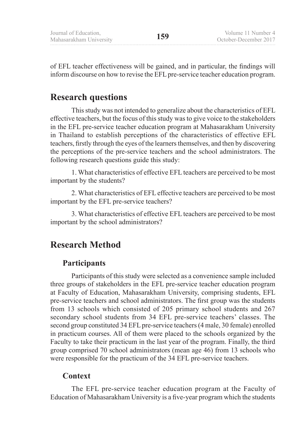of EFL teacher effectiveness will be gained, and in particular, the findings will inform discourse on how to revise the EFL pre-service teacher education program.

## **Research questions**

This study was not intended to generalize about the characteristics of EFL effective teachers, but the focus of this study was to give voice to the stakeholders in the EFL pre-service teacher education program at Mahasarakham University in Thailand to establish perceptions of the characteristics of effective EFL teachers, firstly through the eyes of the learners themselves, and then by discovering the perceptions of the pre-service teachers and the school administrators. The following research questions guide this study:

1. What characteristics of effective EFL teachers are perceived to be most important by the students?

2. What characteristics of EFL effective teachers are perceived to be most important by the EFL pre-service teachers?

3. What characteristics of effective EFL teachers are perceived to be most important by the school administrators?

## **Research Method**

## **Participants**

Participants of this study were selected as a convenience sample included three groups of stakeholders in the EFL pre-service teacher education program at Faculty of Education, Mahasarakham University, comprising students, EFL pre-service teachers and school administrators. The first group was the students from 13 schools which consisted of 205 primary school students and 267 secondary school students from 34 EFL pre-service teachers' classes. The second group constituted 34 EFL pre-service teachers (4 male, 30 female) enrolled in practicum courses. All of them were placed to the schools organized by the Faculty to take their practicum in the last year of the program. Finally, the third group comprised 70 school administrators (mean age 46) from 13 schools who were responsible for the practicum of the 34 EFL pre-service teachers.

## **Context**

The EFL pre-service teacher education program at the Faculty of Education of Mahasarakham University is a five-year program which the students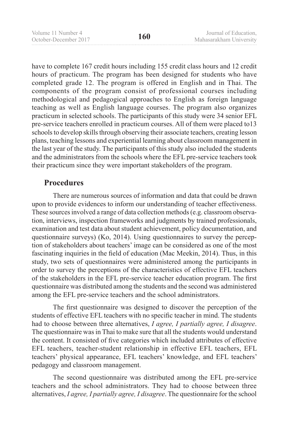have to complete 167 credit hours including 155 credit class hours and 12 credit hours of practicum. The program has been designed for students who have completed grade 12. The program is offered in English and in Thai. The components of the program consist of professional courses including methodological and pedagogical approaches to English as foreign language teaching as well as English language courses. The program also organizes practicum in selected schools. The participants of this study were 34 senior EFL pre-service teachers enrolled in practicum courses. All of them were placed to13 schools to develop skills through observing their associate teachers, creating lesson plans, teaching lessons and experiential learning about classroom management in the last year of the study. The participants of this study also included the students and the administrators from the schools where the EFL pre-service teachers took their practicum since they were important stakeholders of the program.

### **Procedures**

There are numerous sources of information and data that could be drawn upon to provide evidences to inform our understanding of teacher effectiveness. These sources involved a range of data collection methods (e.g. classroom observation, interviews, inspection frameworks and judgments by trained professionals, examination and test data about student achievement, policy documentation, and questionnaire surveys) (Ko, 2014). Using questionnaires to survey the perception of stakeholders about teachers' image can be considered as one of the most fascinating inquiries in the field of education (Mac Meekin, 2014). Thus, in this study, two sets of questionnaires were administered among the participants in order to survey the perceptions of the characteristics of effective EFL teachers of the stakeholders in the EFL pre-service teacher education program. The first questionnaire was distributed among the students and the second was administered among the EFL pre-service teachers and the school administrators.

The first questionnaire was designed to discover the perception of the students of effective EFL teachers with no specific teacher in mind. The students had to choose between three alternatives, *I agree, I partially agree, I disagree*. The questionnaire was in Thai to make sure that all the students would understand the content. It consisted of five categories which included attributes of effective EFL teachers, teacher-student relationship in effective EFL teachers, EFL teachers' physical appearance, EFL teachers' knowledge, and EFL teachers' pedagogy and classroom management.

The second questionnaire was distributed among the EFL pre-service teachers and the school administrators. They had to choose between three alternatives, *I agree, I partially agree, I disagree*. The questionnaire for the school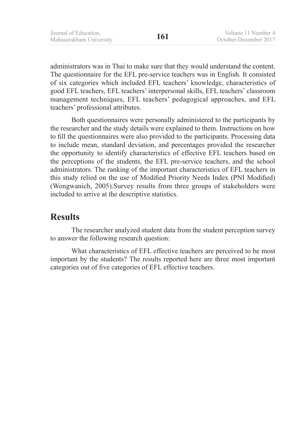administrators was in Thai to make sure that they would understand the content. The questionnaire for the EFL pre-service teachers was in English. It consisted of six categories which included EFL teachers' knowledge, characteristics of good EFL teachers, EFL teachers' interpersonal skills, EFL teachers' classroom management techniques, EFL teachers' pedagogical approaches, and EFL teachers' professional attributes.

Both questionnaires were personally administered to the participants by the researcher and the study details were explained to them. Instructions on how to fill the questionnaires were also provided to the participants. Processing data to include mean, standard deviation, and percentages provided the researcher the opportunity to identify characteristics of effective EFL teachers based on the perceptions of the students, the EFL pre-service teachers, and the school administrators. The ranking of the important characteristics of EFL teachers in this study relied on the use of Modified Priority Needs Index (PNI Modified) (Wongwanich, 2005).Survey results from three groups of stakeholders were included to arrive at the descriptive statistics.

### **Results**

The researcher analyzed student data from the student perception survey to answer the following research question:

What characteristics of EFL effective teachers are perceived to be most important by the students? The results reported here are three most important categories out of five categories of EFL effective teachers.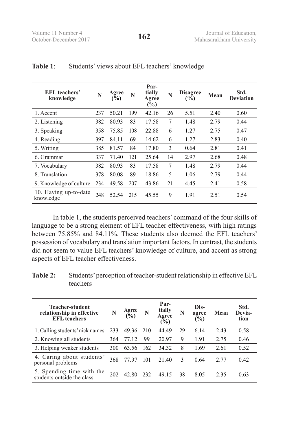| EFL teachers'<br>knowledge         | N   | Agree<br>$\tilde{(\%)}$ | N   | Par-<br>tially<br>Agree<br>$(\sqrt[6]{\frac{6}{5}})$ | N  | <b>Disagree</b><br>(%) | Mean | Std.<br><b>Deviation</b> |
|------------------------------------|-----|-------------------------|-----|------------------------------------------------------|----|------------------------|------|--------------------------|
| 1. Accent                          | 237 | 50.21                   | 199 | 42.16                                                | 26 | 5.51                   | 2.40 | 0.60                     |
| 2. Listening                       | 382 | 80.93                   | 83  | 17.58                                                | 7  | 1.48                   | 2.79 | 0.44                     |
| 3. Speaking                        | 358 | 75.85                   | 108 | 22.88                                                | 6  | 1.27                   | 2.75 | 0.47                     |
| 4. Reading                         | 397 | 84.11                   | 69  | 14.62                                                | 6  | 1.27                   | 2.83 | 0.40                     |
| 5. Writing                         | 385 | 81.57                   | 84  | 17.80                                                | 3  | 0.64                   | 2.81 | 0.41                     |
| 6. Grammar                         | 337 | 71.40                   | 121 | 25.64                                                | 14 | 2.97                   | 2.68 | 0.48                     |
| 7. Vocabulary                      | 382 | 80.93                   | 83  | 17.58                                                | 7  | 1.48                   | 2.79 | 0.44                     |
| 8. Translation                     | 378 | 80.08                   | 89  | 18.86                                                | 5  | 1.06                   | 2.79 | 0.44                     |
| 9. Knowledge of culture            | 234 | 49.58                   | 207 | 43.86                                                | 21 | 4.45                   | 2.41 | 0.58                     |
| 10. Having up-to-date<br>knowledge | 248 | 52.54                   | 215 | 45.55                                                | 9  | 1.91                   | 2.51 | 0.54                     |

#### **Table 1**: Students' views about EFL teachers' knowledge

In table 1, the students perceived teachers' command of the four skills of language to be a strong element of EFL teacher effectiveness, with high ratings between 75.85% and 84.11%. These students also deemed the EFL teachers' possession of vocabulary and translation important factors. In contrast, the students did not seem to value EFL teachers' knowledge of culture, and accent as strong aspects of EFL teacher effectiveness.

| Table 2: | Students' perception of teacher-student relationship in effective EFL |
|----------|-----------------------------------------------------------------------|
|          | teachers                                                              |

| <b>Teacher-student</b><br>relationship in effective<br><b>EFL</b> teachers | N   | Agree<br>$\bar{\mathbf{v}}_0$ | N   | Par-<br>tially<br>Agree<br>$(\%)$ | N  | Dis-<br>agree<br>$\frac{9}{6}$ | Mean | Std.<br>Devia-<br>tion |
|----------------------------------------------------------------------------|-----|-------------------------------|-----|-----------------------------------|----|--------------------------------|------|------------------------|
| 1. Calling students' nick names                                            | 233 | 49.36                         | 210 | 44.49                             | 29 | 6.14                           | 2.43 | 0.58                   |
| 2. Knowing all students                                                    | 364 | 77.12                         | 99  | 20.97                             | 9  | 1.91                           | 2.75 | 0.46                   |
| 3. Helping weaker students                                                 | 300 | 63.56                         | 162 | 34.32                             | 8  | 1.69                           | 2.61 | 0.52                   |
| 4. Caring about students'<br>personal problems                             | 368 | 7797                          | 101 | 21.40                             | 3  | 0.64                           | 2.77 | 0.42                   |
| 5. Spending time with the<br>students outside the class                    | 202 | 42.80                         | 232 | 49 15                             | 38 | 8.05                           | 2.35 | 0.63                   |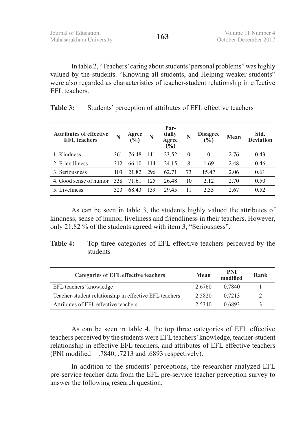In table 2, "Teachers' caring about students' personal problems" was highly valued by the students. "Knowing all students, and Helping weaker students" were also regarded as characteristics of teacher-student relationship in effective EFL teachers.

| <b>Attributes of effective</b><br><b>EFL</b> teachers | N   | Agree<br>$\tilde{(\%)}$ | N   | Par-<br>tially<br>Agree<br>$(\%)$ |          | <b>Disagree</b><br>(%) | Mean | Std.<br><b>Deviation</b> |
|-------------------------------------------------------|-----|-------------------------|-----|-----------------------------------|----------|------------------------|------|--------------------------|
| 1. Kindness                                           | 361 | 76.48                   | 111 | 23.52                             | $\theta$ | $\theta$               | 2.76 | 0.43                     |
| 2. Friendliness                                       | 312 | 66.10                   | 114 | 24 15                             | 8        | 1.69                   | 2.48 | 0.46                     |
| 3. Seriousness                                        | 103 | 21.82                   | 296 | 62.71                             | 73       | 15.47                  | 2.06 | 0.61                     |
| 4. Good sense of humor                                | 338 | 71.61                   | 125 | 26.48                             | 10       | 2.12                   | 2.70 | 0.50                     |
| 5. Liveliness                                         | 323 | 68.43                   | 139 | 29.45                             | 11       | 2.33                   | 2.67 | 0.52                     |

**Table 3:** Students' perception of attributes of EFL effective teachers

As can be seen in table 3, the students highly valued the attributes of kindness, sense of humor, liveliness and friendliness in their teachers. However, only 21.82 % of the students agreed with item 3, "Seriousness".

| <b>Table 4:</b> Top three categories of EFL effective teachers perceived by the |
|---------------------------------------------------------------------------------|
| students                                                                        |

| <b>Categories of EFL effective teachers</b>            | Mean   | PNI<br>modified | Rank |
|--------------------------------------------------------|--------|-----------------|------|
| EFL teachers' knowledge                                | 2.6760 | 0.7840          |      |
| Teacher-student relationship in effective EFL teachers | 2.5820 | 0.7213          |      |
| Attributes of EFL effective teachers                   | 2.5340 | 0.6893          |      |

As can be seen in table 4, the top three categories of EFL effective teachers perceived by the students were EFL teachers' knowledge, teacher-student relationship in effective EFL teachers, and attributes of EFL effective teachers (PNI modified = .7840, .7213 and .6893 respectively).

In addition to the students' perceptions, the researcher analyzed EFL pre-service teacher data from the EFL pre-service teacher perception survey to answer the following research question.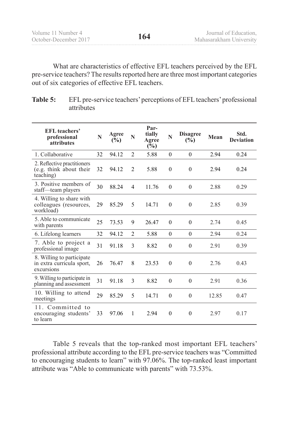| Volume 11 Number 4    |     | Journal of Education,   |
|-----------------------|-----|-------------------------|
| October-December 2017 | 164 | Mahasarakham University |

What are characteristics of effective EFL teachers perceived by the EFL pre-service teachers? The results reported here are three most important categories out of six categories of effective EFL teachers.

| Table 5: | EFL pre-service teachers' perceptions of EFL teachers' professional |
|----------|---------------------------------------------------------------------|
|          | attributes                                                          |

| <b>EFL</b> teachers'<br>professional<br>attributes                   | N  | Agree<br>(%) | N              | Par-<br>tially<br>Agree<br>$(\%)$ | N            | <b>Disagree</b><br>(%) | Mean  | Std.<br><b>Deviation</b> |
|----------------------------------------------------------------------|----|--------------|----------------|-----------------------------------|--------------|------------------------|-------|--------------------------|
| 1. Collaborative                                                     | 32 | 94.12        | $\mathfrak{D}$ | 5.88                              | $\theta$     | $\theta$               | 2.94  | 0.24                     |
| 2. Reflective practitioners<br>(e.g. think about their<br>teaching)  | 32 | 94.12        | 2              | 5.88                              | $\theta$     | $\theta$               | 2.94  | 0.24                     |
| 3. Positive members of<br>staff-team players                         | 30 | 88.24        | $\overline{4}$ | 11.76                             | $\mathbf{0}$ | $\boldsymbol{0}$       | 2.88  | 0.29                     |
| 4. Willing to share with<br>colleagues (resources,<br>workload)      | 29 | 85.29        | 5              | 14.71                             | $\theta$     | $\theta$               | 2.85  | 0.39                     |
| 5. Able to communicate<br>with parents                               | 25 | 73.53        | 9              | 26.47                             | $\Omega$     | $\theta$               | 2.74  | 0.45                     |
| 6. Lifelong learners                                                 | 32 | 94.12        | $\mathfrak{D}$ | 5.88                              | $\theta$     | $\theta$               | 2.94  | 0.24                     |
| 7. Able to project a<br>professional image                           | 31 | 91.18        | 3              | 8.82                              | $\theta$     | $\theta$               | 2.91  | 0.39                     |
| 8. Willing to participate<br>in extra curricula sport,<br>excursions | 26 | 76.47        | 8              | 23.53                             | $\theta$     | $\boldsymbol{0}$       | 2.76  | 0.43                     |
| 9. Willing to participate in<br>planning and assessment              | 31 | 91.18        | 3              | 8.82                              | $\theta$     | $\theta$               | 2.91  | 0.36                     |
| 10. Willing to attend<br>meetings                                    | 29 | 85.29        | 5              | 14.71                             | $\theta$     | $\boldsymbol{0}$       | 12.85 | 0.47                     |
| 11. Committed to<br>encouraging students'<br>to learn                | 33 | 97.06        | 1              | 2.94                              | $\theta$     | $\theta$               | 2.97  | 0.17                     |

Table 5 reveals that the top-ranked most important EFL teachers' professional attribute according to the EFL pre-service teachers was "Committed to encouraging students to learn" with 97.06%. The top-ranked least important attribute was "Able to communicate with parents" with 73.53%.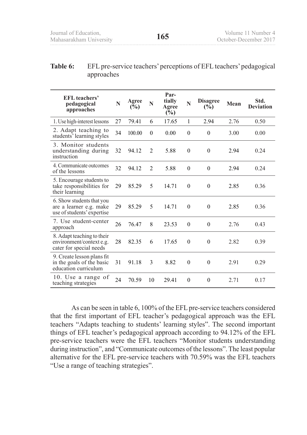#### **Table 6:** EFL pre-service teachers' perceptions of EFL teachers' pedagogical approaches

| <b>EFL</b> teachers'<br>pedagogical<br>approaches                                  | N  | Agree<br>$(\overline{\mathbb{Q}}_0)$ | N              | Par-<br>tially<br>Agree<br>$(\%)$ | N            | <b>Disagree</b><br>(%) | Mean | Std.<br><b>Deviation</b> |
|------------------------------------------------------------------------------------|----|--------------------------------------|----------------|-----------------------------------|--------------|------------------------|------|--------------------------|
| 1. Use high-interest lessons                                                       | 27 | 79.41                                | 6              | 17.65                             | 1            | 2.94                   | 2.76 | 0.50                     |
| 2. Adapt teaching to<br>students' learning styles                                  | 34 | 100.00                               | $\theta$       | 0.00                              | $\theta$     | $\mathbf{0}$           | 3.00 | 0.00                     |
| 3. Monitor students<br>understanding during<br>instruction                         | 32 | 94.12                                | 2              | 5.88                              | $\theta$     | $\theta$               | 2.94 | 0.24                     |
| 4. Communicate outcomes<br>of the lessons                                          | 32 | 94.12                                | $\overline{2}$ | 5.88                              | $\mathbf{0}$ | $\theta$               | 2.94 | 0.24                     |
| 5. Encourage students to<br>take responsibilities for<br>their learning            | 29 | 85.29                                | 5              | 14.71                             | $\theta$     | $\theta$               | 2.85 | 0.36                     |
| 6. Show students that you<br>are a learner e.g. make<br>use of students' expertise | 29 | 85.29                                | 5              | 14.71                             | $\mathbf{0}$ | $\theta$               | 2.85 | 0.36                     |
| 7. Use student-center<br>approach                                                  | 26 | 76.47                                | 8              | 23.53                             | $\theta$     | $\theta$               | 2.76 | 0.43                     |
| 8. Adapt teaching to their<br>environment/context e.g.<br>cater for special needs  | 28 | 82.35                                | 6              | 17.65                             | $\mathbf{0}$ | $\overline{0}$         | 2.82 | 0.39                     |
| 9. Create lesson plans fit<br>in the goals of the basic<br>education curriculum    | 31 | 91.18                                | 3              | 8.82                              | $\theta$     | $\theta$               | 2.91 | 0.29                     |
| 10. Use a range of<br>teaching strategies                                          | 24 | 70.59                                | 10             | 29.41                             | $\theta$     | $\overline{0}$         | 2.71 | 0.17                     |

As can be seen in table 6, 100% of the EFL pre-service teachers considered that the first important of EFL teacher's pedagogical approach was the EFL teachers "Adapts teaching to students' learning styles". The second important things of EFL teacher's pedagogical approach according to 94.12% of the EFL pre-service teachers were the EFL teachers "Monitor students understanding during instruction", and "Communicate outcomes of the lessons". The least popular alternative for the EFL pre-service teachers with 70.59% was the EFL teachers "Use a range of teaching strategies".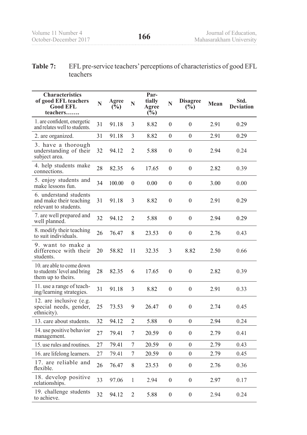#### **Table 7:** EFL pre-service teachers' perceptions of characteristics of good EFL teachers

| <b>Characteristics</b><br>of good EFL teachers<br><b>Good EFL</b><br>teachers   | N  | Agree<br>$(\overline{\mathbb{Q}}_0)$ | N              | Par-<br>tially<br>Agree<br>$(\%)$ | N                | <b>Disagree</b><br>$(\frac{6}{6})$ | Mean | Std.<br><b>Deviation</b> |
|---------------------------------------------------------------------------------|----|--------------------------------------|----------------|-----------------------------------|------------------|------------------------------------|------|--------------------------|
| 1. are confident, energetic<br>and relates well to students.                    | 31 | 91.18                                | 3              | 8.82                              | $\mathbf{0}$     | $\theta$                           | 2.91 | 0.29                     |
| 2. are organized.                                                               | 31 | 91.18                                | 3              | 8.82                              | $\boldsymbol{0}$ | $\theta$                           | 2.91 | 0.29                     |
| 3. have a thorough<br>understanding of their<br>subject area.                   | 32 | 94.12                                | $\overline{2}$ | 5.88                              | $\boldsymbol{0}$ | $\theta$                           | 2.94 | 0.24                     |
| 4. help students make<br>connections.                                           | 28 | 82.35                                | 6              | 17.65                             | $\theta$         | $\boldsymbol{0}$                   | 2.82 | 0.39                     |
| 5. enjoy students and<br>make lessons fun.                                      | 34 | 100.00                               | $\theta$       | 0.00                              | $\mathbf{0}$     | $\theta$                           | 3.00 | 0.00                     |
| 6. understand students<br>and make their teaching<br>relevant to students.      | 31 | 91.18                                | 3              | 8.82                              | $\theta$         | $\theta$                           | 2.91 | 0.29                     |
| 7. are well prepared and<br>well planned.                                       | 32 | 94.12                                | $\overline{2}$ | 5.88                              | $\boldsymbol{0}$ | $\theta$                           | 2.94 | 0.29                     |
| 8. modify their teaching<br>to suit individuals.                                | 26 | 76.47                                | 8              | 23.53                             | $\boldsymbol{0}$ | $\boldsymbol{0}$                   | 2.76 | 0.43                     |
| 9. want to make a<br>difference with their<br>students.                         | 20 | 58.82                                | 11             | 32.35                             | 3                | 8.82                               | 2.50 | 0.66                     |
| 10. are able to come down<br>to students' level and bring<br>them up to theirs. | 28 | 82.35                                | 6              | 17.65                             | $\boldsymbol{0}$ | $\theta$                           | 2.82 | 0.39                     |
| 11. use a range of teach-<br>ing/learning strategies.                           | 31 | 91.18                                | 3              | 8.82                              | $\boldsymbol{0}$ | $\boldsymbol{0}$                   | 2.91 | 0.33                     |
| 12. are inclusive (e.g.<br>special needs, gender,<br>ethnicity).                | 25 | 73.53                                | 9              | 26.47                             | $\boldsymbol{0}$ | $\theta$                           | 2.74 | 0.45                     |
| 13. care about students.                                                        | 32 | 94.12                                | 2              | 5.88                              | $\boldsymbol{0}$ | $\theta$                           | 2.94 | 0.24                     |
| 14. use positive behavior<br>management.                                        | 27 | 79.41                                | 7              | 20.59                             | $\boldsymbol{0}$ | $\theta$                           | 2.79 | 0.41                     |
| 15. use rules and routines.                                                     | 27 | 79.41                                | 7              | 20.59                             | $\boldsymbol{0}$ | $\boldsymbol{0}$                   | 2.79 | 0.43                     |
| 16. are lifelong learners.                                                      | 27 | 79.41                                | $\tau$         | 20.59                             | $\boldsymbol{0}$ | $\overline{0}$                     | 2.79 | 0.45                     |
| 17. are reliable and<br>flexible.                                               | 26 | 76.47                                | 8              | 23.53                             | $\boldsymbol{0}$ | $\boldsymbol{0}$                   | 2.76 | 0.36                     |
| 18. develop positive<br>relationships.                                          | 33 | 97.06                                | $\mathbf{1}$   | 2.94                              | $\boldsymbol{0}$ | $\boldsymbol{0}$                   | 2.97 | 0.17                     |
| 19. challenge students<br>to achieve.                                           | 32 | 94.12                                | $\overline{c}$ | 5.88                              | $\boldsymbol{0}$ | $\boldsymbol{0}$                   | 2.94 | 0.24                     |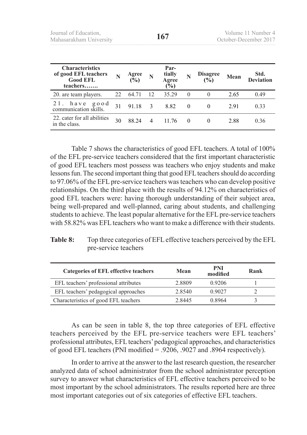| <b>Characteristics</b><br>of good EFL teachers<br><b>Good EFL</b><br>teachers | N  | Agree<br>$\frac{6}{2}$ | N  | Par-<br>tially<br>Agree<br>$\frac{6}{6}$ |          | <b>Disagree</b><br>(%) | Mean | Std.<br><b>Deviation</b> |
|-------------------------------------------------------------------------------|----|------------------------|----|------------------------------------------|----------|------------------------|------|--------------------------|
| 20. are team players.                                                         | 22 | 64.71                  | 12 | 35.29                                    | $\theta$ | $\theta$               | 2.65 | 0.49                     |
| good<br>have<br>communication skills.                                         | 31 | 91 18                  | 3  | 8.82                                     | $\theta$ |                        | 2.91 | 0.33                     |
| 22. cater for all abilities<br>in the class.                                  | 30 | 88 24                  |    | 11 76                                    | $\Omega$ |                        | 2.88 | 0.36                     |

Table 7 shows the characteristics of good EFL teachers. A total of 100% of the EFL pre-service teachers considered that the first important characteristic of good EFL teachers most possess was teachers who enjoy students and make lessons fun. The second important thing that good EFL teachers should do according to 97.06% of the EFL pre-service teachers was teachers who can develop positive relationships. On the third place with the results of 94.12% on characteristics of good EFL teachers were: having thorough understanding of their subject area, being well-prepared and well-planned, caring about students, and challenging students to achieve. The least popular alternative for the EFL pre-service teachers with 58.82% was EFL teachers who want to make a difference with their students.

| Table 8: | Top three categories of EFL effective teachers perceived by the EFL |
|----------|---------------------------------------------------------------------|
|          | pre-service teachers                                                |

| <b>Categories of EFL effective teachers</b> | Mean   | PNI<br>modified | Rank |
|---------------------------------------------|--------|-----------------|------|
| EFL teachers' professional attributes       | 2.8809 | 0.9206          |      |
| EFL teachers' pedagogical approaches        | 2.8540 | 0.9027          |      |
| Characteristics of good EFL teachers        | 2 8445 | 0.8964          |      |

As can be seen in table 8, the top three categories of EFL effective teachers perceived by the EFL pre-service teachers were EFL teachers' professional attributes, EFL teachers' pedagogical approaches, and characteristics of good EFL teachers (PNI modified = .9206, .9027 and .8964 respectively).

In order to arrive at the answer to the last research question, the researcher analyzed data of school administrator from the school administrator perception survey to answer what characteristics of EFL effective teachers perceived to be most important by the school administrators. The results reported here are three most important categories out of six categories of effective EFL teachers.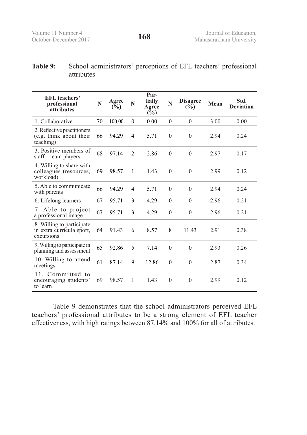#### **Table 9:** School administrators' perceptions of EFL teachers' professional attributes

| <b>EFL</b> teachers'<br>professional<br>attributes                   | N  | Agree<br>(%) | N              | Par-<br>tially<br>Agree<br>$(\%)$ | N            | <b>Disagree</b><br>(%) | Mean | Std.<br><b>Deviation</b> |
|----------------------------------------------------------------------|----|--------------|----------------|-----------------------------------|--------------|------------------------|------|--------------------------|
| 1. Collaborative                                                     | 70 | 100.00       | $\theta$       | 0.00                              | $\theta$     | $\theta$               | 3.00 | 0.00                     |
| 2. Reflective practitioners<br>(e.g. think about their<br>teaching)  | 66 | 94.29        | 4              | 5.71                              | $\theta$     | $\theta$               | 2.94 | 0.24                     |
| 3. Positive members of<br>staff-team players                         | 68 | 97.14        | $\mathfrak{D}$ | 2.86                              | $\theta$     | $\theta$               | 2.97 | 0.17                     |
| 4. Willing to share with<br>colleagues (resources,<br>workload)      | 69 | 98.57        | 1              | 1.43                              | $\mathbf{0}$ | $\theta$               | 2.99 | 0.12                     |
| 5. Able to communicate<br>with parents                               | 66 | 94.29        | 4              | 5.71                              | $\theta$     | $\theta$               | 2.94 | 0.24                     |
| 6. Lifelong learners                                                 | 67 | 95.71        | 3              | 4.29                              | $\theta$     | $\theta$               | 2.96 | 0.21                     |
| 7. Able to project<br>a professional image                           | 67 | 95.71        | 3              | 4.29                              | $\theta$     | $\boldsymbol{0}$       | 2.96 | 0.21                     |
| 8. Willing to participate<br>in extra curricula sport,<br>excursions | 64 | 91.43        | 6              | 8.57                              | 8            | 11.43                  | 2.91 | 0.38                     |
| 9. Willing to participate in<br>planning and assessment              | 65 | 92.86        | 5              | 7.14                              | $\theta$     | $\theta$               | 2.93 | 0.26                     |
| 10. Willing to attend<br>meetings                                    | 61 | 87.14        | 9              | 12.86                             | $\theta$     | $\boldsymbol{0}$       | 2.87 | 0.34                     |
| 11. Committed to<br>encouraging students'<br>to learn                | 69 | 98.57        | 1              | 1.43                              | $\theta$     | $\theta$               | 2.99 | 0.12                     |

Table 9 demonstrates that the school administrators perceived EFL teachers' professional attributes to be a strong element of EFL teacher effectiveness, with high ratings between 87.14% and 100% for all of attributes.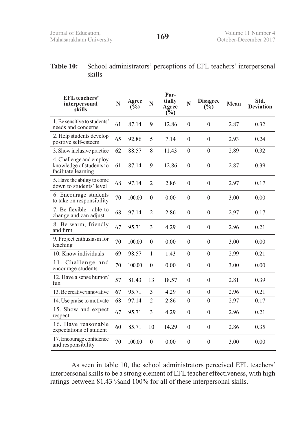#### **Table 10:** School administrators' perceptions of EFL teachers' interpersonal skills

| <b>EFL</b> teachers'<br>interpersonal<br>skills                            | N           | Agree<br>$(\bar{\mathbb{V}}_0)$ | N              | Par-<br>tially<br>Agree<br>(%) | N                | <b>Disagree</b><br>$(\frac{6}{6})$ | Mean | Std.<br><b>Deviation</b> |
|----------------------------------------------------------------------------|-------------|---------------------------------|----------------|--------------------------------|------------------|------------------------------------|------|--------------------------|
| 1. Be sensitive to students'<br>needs and concerns                         | 61          | 87.14                           | 9              | 12.86                          | $\boldsymbol{0}$ | $\boldsymbol{0}$                   | 2.87 | 0.32                     |
| 2. Help students develop<br>positive self-esteem                           | 65<br>92.86 |                                 | 5              | 7.14                           | $\theta$         | $\theta$                           | 2.93 | 0.24                     |
| 3. Show inclusive practice                                                 | 62          | 88.57                           | 8              | 11.43                          | $\boldsymbol{0}$ | $\theta$                           | 2.89 | 0.32                     |
| 4. Challenge and employ<br>knowledge of students to<br>facilitate learning | 61          | 87.14                           | 9              | 12.86                          | $\theta$         | $\theta$                           | 2.87 | 0.39                     |
| 5. Have the ability to come<br>down to students' level                     | 68          | 97.14                           | $\overline{2}$ | 2.86                           | $\boldsymbol{0}$ | $\boldsymbol{0}$                   | 2.97 | 0.17                     |
| 6. Encourage students<br>to take on responsibility                         | 70          | 100.00                          | $\theta$       | 0.00                           | $\boldsymbol{0}$ | $\theta$                           | 3.00 | 0.00                     |
| 7. Be flexible—able to<br>change and can adjust                            | 68          | 97.14                           | $\overline{2}$ | 2.86                           | $\boldsymbol{0}$ | $\theta$                           | 2.97 | 0.17                     |
| 8. Be warm, friendly<br>and firm                                           | 67          | 95.71                           | 3              | 4.29                           | $\boldsymbol{0}$ | $\boldsymbol{0}$                   | 2.96 | 0.21                     |
| 9. Project enthusiasm for<br>teaching                                      | 70          | 100.00                          | $\theta$       | 0.00                           | $\boldsymbol{0}$ | $\theta$                           | 3.00 | 0.00                     |
| 10. Know individuals                                                       | 69          | 98.57                           | 1              | 1.43                           | $\theta$         | $\theta$                           | 2.99 | 0.21                     |
| 11. Challenge and<br>encourage students                                    | 70          | 100.00                          | $\theta$       | 0.00                           | $\boldsymbol{0}$ | $\boldsymbol{0}$                   | 3.00 | 0.00                     |
| 12. Have a sense humor/<br>fun                                             | 57          | 81.43                           | 13             | 18.57                          | $\boldsymbol{0}$ | $\boldsymbol{0}$                   | 2.81 | 0.39                     |
| 13. Be creative/innovative                                                 | 67          | 95.71                           | 3              | 4.29                           | $\overline{0}$   | $\mathbf{0}$                       | 2.96 | 0.21                     |
| 14. Use praise to motivate                                                 | 68          | 97.14                           | $\overline{2}$ | 2.86                           | $\boldsymbol{0}$ | $\theta$                           | 2.97 | 0.17                     |
| 15. Show and expect<br>respect                                             | 67          | 95.71                           | 3              | 4.29                           | $\boldsymbol{0}$ | $\mathbf{0}$                       | 2.96 | 0.21                     |
| 16. Have reasonable<br>expectations of student                             | 60          | 85.71                           | 10             | 14.29                          | $\boldsymbol{0}$ | $\mathbf{0}$                       | 2.86 | 0.35                     |
| 17. Encourage confidence<br>and responsibility                             | 70          | 100.00                          | $\theta$       | 0.00                           | $\mathbf{0}$     | $\boldsymbol{0}$                   | 3.00 | 0.00                     |

As seen in table 10, the school administrators perceived EFL teachers' interpersonal skills to be a strong element of EFL teacher effectiveness, with high ratings between 81.43 %and 100% for all of these interpersonal skills.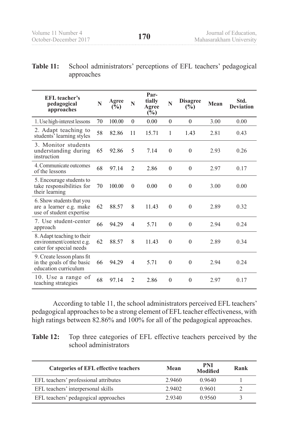#### **Table 11:** School administrators' perceptions of EFL teachers' pedagogical approaches

| <b>EFL</b> teacher's<br>pedagogical<br>approaches                                 | N  | Agree<br>$(\bar{\mathbb{V}}_0)$ | N              | Par-<br>tially<br>Agree<br>(%) | Ń                | <b>Disagree</b><br>$(\%)$ | Mean | Std.<br><b>Deviation</b> |
|-----------------------------------------------------------------------------------|----|---------------------------------|----------------|--------------------------------|------------------|---------------------------|------|--------------------------|
| 1. Use high-interest lessons                                                      | 70 | 100.00                          | $\theta$       | 0.00                           | $\boldsymbol{0}$ | $\theta$                  | 3.00 | 0.00                     |
| 2. Adapt teaching to<br>students' learning styles                                 | 58 | 82.86                           | 11             | 15.71                          | 1                | 1.43                      | 2.81 | 0.43                     |
| 3. Monitor students<br>understanding during<br>instruction                        | 65 | 92.86                           | 5              | 7.14                           | $\theta$         | $\theta$                  | 2.93 | 0.26                     |
| 4. Communicate outcomes<br>of the lessons                                         | 68 | 97.14                           | $\mathfrak{D}$ | 2.86                           | $\theta$         | $\theta$                  | 2.97 | 0.17                     |
| 5. Encourage students to<br>take responsibilities for<br>their learning           | 70 | 100.00                          | $\theta$       | 0.00                           | $\boldsymbol{0}$ | $\theta$                  | 3.00 | 0.00                     |
| 6. Show students that you<br>are a learner e.g. make<br>use of student expertise  | 62 | 88.57                           | 8              | 11.43                          | $\theta$         | $\theta$                  | 2.89 | 0.32                     |
| 7. Use student-center<br>approach                                                 | 66 | 94.29                           | 4              | 5.71                           | $\theta$         | $\theta$                  | 2.94 | 0.24                     |
| 8. Adapt teaching to their<br>environment/context e.g.<br>cater for special needs | 62 | 88.57                           | 8              | 11 43                          | $\theta$         | $\theta$                  | 2.89 | 0.34                     |
| 9. Create lesson plans fit<br>in the goals of the basic<br>education curriculum   | 66 | 94.29                           | 4              | 5.71                           | $\boldsymbol{0}$ | $\theta$                  | 2.94 | 0.24                     |
| 10. Use a range of<br>teaching strategies                                         | 68 | 97.14                           | $\overline{2}$ | 2.86                           | $\mathbf{0}$     | $\theta$                  | 2.97 | 0.17                     |

According to table 11, the school administrators perceived EFL teachers' pedagogical approaches to be a strong element of EFL teacher effectiveness, with high ratings between 82.86% and 100% for all of the pedagogical approaches.

**Table 12:** Top three categories of EFL effective teachers perceived by the school administrators

| <b>Categories of EFL effective teachers</b> | Mean   | PNI<br><b>Modified</b> | Rank |
|---------------------------------------------|--------|------------------------|------|
| EFL teachers' professional attributes       | 2.9460 | 0.9640                 |      |
| EFL teachers' interpersonal skills          | 2.9402 | 0.9601                 |      |
| EFL teachers' pedagogical approaches        | 2.9340 | 0.9560                 | 3    |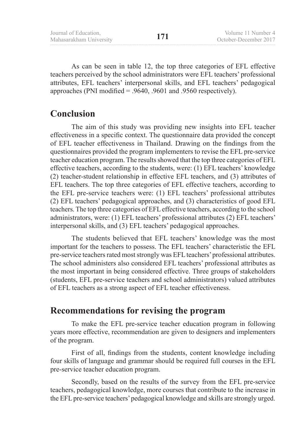As can be seen in table 12, the top three categories of EFL effective teachers perceived by the school administrators were EFL teachers' professional attributes, EFL teachers' interpersonal skills, and EFL teachers' pedagogical approaches (PNI modified = .9640, .9601 and .9560 respectively).

## **Conclusion**

The aim of this study was providing new insights into EFL teacher effectiveness in a specific context. The questionnaire data provided the concept of EFL teacher effectiveness in Thailand. Drawing on the findings from the questionnaires provided the program implementers to revise the EFL pre-service teacher education program. The results showed that the top three categories of EFL effective teachers, according to the students, were: (1) EFL teachers' knowledge (2) teacher-student relationship in effective EFL teachers, and (3) attributes of EFL teachers. The top three categories of EFL effective teachers, according to the EFL pre-service teachers were: (1) EFL teachers' professional attributes (2) EFL teachers' pedagogical approaches, and (3) characteristics of good EFL teachers. The top three categories of EFL effective teachers, according to the school administrators, were: (1) EFL teachers' professional attributes (2) EFL teachers' interpersonal skills, and (3) EFL teachers' pedagogical approaches.

The students believed that EFL teachers' knowledge was the most important for the teachers to possess. The EFL teachers' characteristic the EFL pre-service teachers rated most strongly was EFL teachers' professional attributes. The school administers also considered EFL teachers' professional attributes as the most important in being considered effective. Three groups of stakeholders (students, EFL pre-service teachers and school administrators) valued attributes of EFL teachers as a strong aspect of EFL teacher effectiveness.

## **Recommendations for revising the program**

To make the EFL pre-service teacher education program in following years more effective, recommendation are given to designers and implementers of the program.

First of all, findings from the students, content knowledge including four skills of language and grammar should be required full courses in the EFL pre-service teacher education program.

Secondly, based on the results of the survey from the EFL pre-service teachers, pedagogical knowledge, more courses that contribute to the increase in the EFL pre-service teachers' pedagogical knowledge and skills are strongly urged.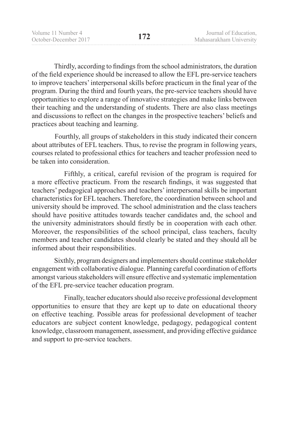Thirdly, according to findings from the school administrators, the duration of the field experience should be increased to allow the EFL pre-service teachers to improve teachers' interpersonal skills before practicum in the final year of the program. During the third and fourth years, the pre-service teachers should have opportunities to explore a range of innovative strategies and make links between their teaching and the understanding of students. There are also class meetings and discussions to reflect on the changes in the prospective teachers' beliefs and practices about teaching and learning.

 Fourthly, all groups of stakeholders in this study indicated their concern about attributes of EFL teachers. Thus, to revise the program in following years, courses related to professional ethics for teachers and teacher profession need to be taken into consideration.

Fifthly, a critical, careful revision of the program is required for a more effective practicum. From the research findings, it was suggested that teachers' pedagogical approaches and teachers' interpersonal skills be important characteristics for EFL teachers. Therefore, the coordination between school and university should be improved. The school administration and the class teachers should have positive attitudes towards teacher candidates and, the school and the university administrators should firstly be in cooperation with each other. Moreover, the responsibilities of the school principal, class teachers, faculty members and teacher candidates should clearly be stated and they should all be informed about their responsibilities.

 Sixthly, program designers and implementers should continue stakeholder engagement with collaborative dialogue. Planning careful coordination of efforts amongst various stakeholders will ensure effective and systematic implementation of the EFL pre-service teacher education program.

Finally, teacher educators should also receive professional development opportunities to ensure that they are kept up to date on educational theory on effective teaching. Possible areas for professional development of teacher educators are subject content knowledge, pedagogy, pedagogical content knowledge, classroom management, assessment, and providing effective guidance and support to pre-service teachers.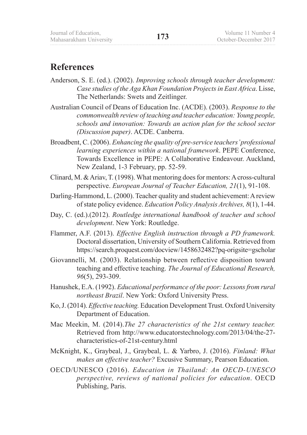## **References**

- Anderson, S. E. (ed.). (2002). *Improving schools through teacher development: Case studies of the Aga Khan Foundation Projects in East Africa*. Lisse, The Netherlands: Swets and Zeitlinger.
- Australian Council of Deans of Education Inc. (ACDE). (2003). *Response to the commonwealth review of teaching and teacher education: Young people, schools and innovation: Towards an action plan for the school sector (Discussion paper)*. ACDE. Canberra.
- Broadbent, C. (2006). *Enhancing the quality of pre-service teachers' professional learning experiences within a national framework*. PEPE Conference, Towards Excellence in PEPE: A Collaborative Endeavour. Auckland, New Zealand, 1-3 February, pp. 52-59.
- Clinard, M. & Ariav, T. (1998). What mentoring does for mentors: A cross-cultural perspective. *European Journal of Teacher Education, 21*(1), 91-108.
- Darling-Hammond, L. (2000). Teacher quality and student achievement: A review of state policy evidence. *Education Policy Analysis Archives, 8*(1), 1-44.
- Day, C. (ed.).(2012). *Routledge international handbook of teacher and school development*. New York: Routledge.
- Flammer, A.F. (2013). *Effective English instruction through a PD framework.*  Doctoral dissertation, University of Southern California. Retrieved from https://search.proquest.com/docview/1458632482?pq-origsite=gscholar
- Giovannelli, M. (2003). Relationship between reflective disposition toward teaching and effective teaching. *The Journal of Educational Research, 96*(5), 293-309.
- Hanushek, E.A. (1992). *Educational performance of the poor: Lessons from rural northeast Brazil*. New York: Oxford University Press.
- Ko, J. (2014). *Effective teaching.* Education Development Trust. Oxford University Department of Education.
- Mac Meekin, M. (2014).*The 27 characteristics of the 21st century teacher.*  Retrieved from http://www.educatorstechnology.com/2013/04/the-27 characteristics-of-21st-century.html
- McKnight, K., Graybeal, J., Graybeal, L. & Yarbro, J. (2016). *Finland: What makes an effective teacher?* Excusive Summary, Pearson Education.
- OECD/UNESCO (2016). *Education in Thailand: An OECD-UNESCO perspective, reviews of national policies for education*. OECD Publishing, Paris.